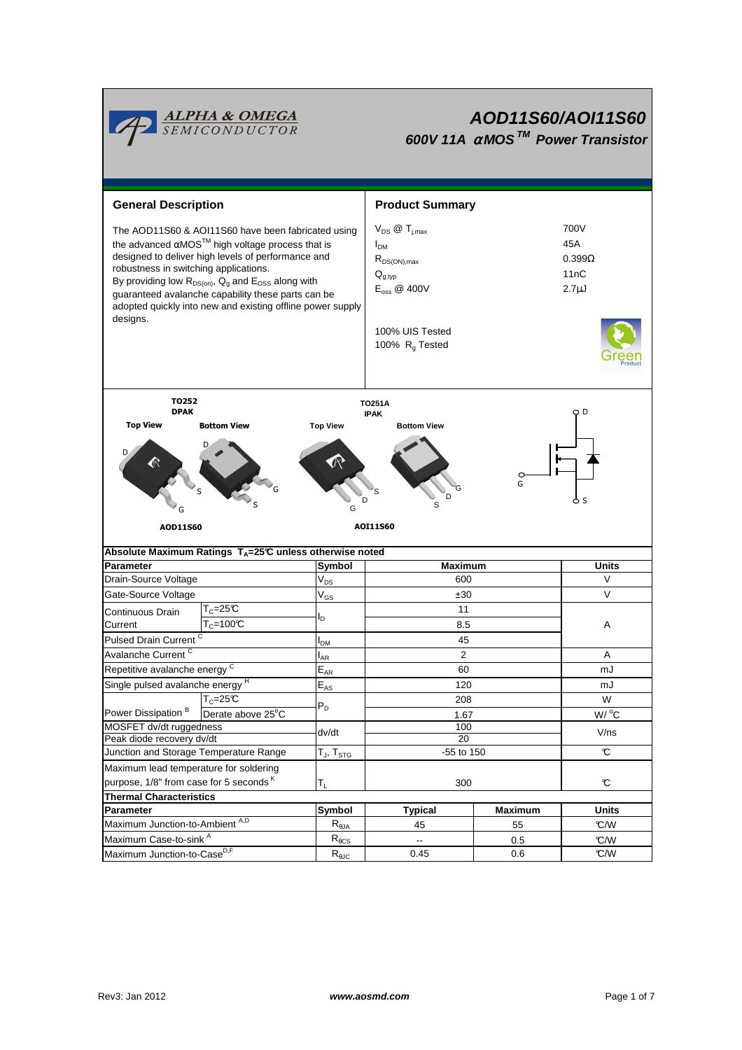

# **AOD11S60/AOI11S60 600V 11A** <sup>α</sup> **MOS TM Power Transistor**

| <b>General Description</b>                                                                                                                                                                                                                                                                                                                                                                                                  |                                                                    |                            | <b>Product Summary</b>                                                                                                                          |                                                    |                     |  |  |  |  |
|-----------------------------------------------------------------------------------------------------------------------------------------------------------------------------------------------------------------------------------------------------------------------------------------------------------------------------------------------------------------------------------------------------------------------------|--------------------------------------------------------------------|----------------------------|-------------------------------------------------------------------------------------------------------------------------------------------------|----------------------------------------------------|---------------------|--|--|--|--|
| The AOD11S60 & AOI11S60 have been fabricated using<br>the advanced $\alpha$ MOS <sup>TM</sup> high voltage process that is<br>designed to deliver high levels of performance and<br>robustness in switching applications.<br>By providing low $R_{DS(on)}$ , $Q_g$ and $E_{OSS}$ along with<br>guaranteed avalanche capability these parts can be<br>adopted quickly into new and existing offline power supply<br>designs. |                                                                    |                            | $V_{DS}$ @ $T_{i,max}$<br>I <sub>DM</sub><br>$R_{DS(ON),max}$<br>$Q_{g,typ}$<br>$E_{\text{oss}}$ @ 400V<br>100% UIS Tested<br>100% $R_q$ Tested | 700V<br>45A<br>$0.399\Omega$<br>11nC<br>$2.7\mu$ J |                     |  |  |  |  |
| TO252<br><b>DPAK</b>                                                                                                                                                                                                                                                                                                                                                                                                        |                                                                    |                            | <b>TO251A</b><br><b>IPAK</b>                                                                                                                    |                                                    | O D                 |  |  |  |  |
| <b>Top View</b>                                                                                                                                                                                                                                                                                                                                                                                                             | <b>Bottom View</b>                                                 | <b>Top View</b>            | <b>Bottom View</b>                                                                                                                              |                                                    |                     |  |  |  |  |
| G<br>D<br>D<br>0 S<br>G<br>G<br>AOI11560<br>AOD11S60                                                                                                                                                                                                                                                                                                                                                                        |                                                                    |                            |                                                                                                                                                 |                                                    |                     |  |  |  |  |
|                                                                                                                                                                                                                                                                                                                                                                                                                             | Absolute Maximum Ratings $T_A = 25^\circ C$ unless otherwise noted |                            |                                                                                                                                                 |                                                    |                     |  |  |  |  |
| <b>Parameter</b>                                                                                                                                                                                                                                                                                                                                                                                                            |                                                                    | Symbol                     | Maximum                                                                                                                                         |                                                    | <b>Units</b>        |  |  |  |  |
| Drain-Source Voltage                                                                                                                                                                                                                                                                                                                                                                                                        |                                                                    | $V_{DS}$                   | 600                                                                                                                                             |                                                    | $\vee$              |  |  |  |  |
| Gate-Source Voltage                                                                                                                                                                                                                                                                                                                                                                                                         |                                                                    | $V_{GS}$                   | ±30                                                                                                                                             |                                                    | $\vee$              |  |  |  |  |
| Continuous Drain                                                                                                                                                                                                                                                                                                                                                                                                            | $T_c = 25C$                                                        | l <sub>D</sub>             | 11                                                                                                                                              |                                                    |                     |  |  |  |  |
| Current                                                                                                                                                                                                                                                                                                                                                                                                                     | $T_c = 100C$                                                       |                            | 8.5                                                                                                                                             |                                                    | Α                   |  |  |  |  |
| Pulsed Drain Current <sup>C</sup>                                                                                                                                                                                                                                                                                                                                                                                           |                                                                    | I <sub>DM</sub>            | 45                                                                                                                                              |                                                    |                     |  |  |  |  |
| Avalanche Current <sup>C</sup>                                                                                                                                                                                                                                                                                                                                                                                              |                                                                    | $I_{AR}$                   | $\overline{2}$                                                                                                                                  |                                                    | Α                   |  |  |  |  |
| Repetitive avalanche energy <sup>C</sup>                                                                                                                                                                                                                                                                                                                                                                                    |                                                                    | $\mathsf{E}_{\mathsf{AR}}$ | 60                                                                                                                                              |                                                    | mJ                  |  |  |  |  |
| Single pulsed avalanche energy <sup>H</sup>                                                                                                                                                                                                                                                                                                                                                                                 |                                                                    | $E_{AS}$                   | 120                                                                                                                                             |                                                    | mJ                  |  |  |  |  |
|                                                                                                                                                                                                                                                                                                                                                                                                                             | $T_c = 25C$                                                        |                            | 208                                                                                                                                             |                                                    | W                   |  |  |  |  |
| Power Dissipation <sup>B</sup>                                                                                                                                                                                                                                                                                                                                                                                              | Derate above 25°C                                                  | $P_D$                      | 1.67                                                                                                                                            |                                                    | $W/$ <sup>o</sup> C |  |  |  |  |
| MOSFET dv/dt ruggedness                                                                                                                                                                                                                                                                                                                                                                                                     |                                                                    | dv/dt                      | 100                                                                                                                                             |                                                    | V/ns                |  |  |  |  |
| Peak diode recovery dv/dt                                                                                                                                                                                                                                                                                                                                                                                                   |                                                                    |                            | $\overline{20}$                                                                                                                                 |                                                    |                     |  |  |  |  |
| Junction and Storage Temperature Range                                                                                                                                                                                                                                                                                                                                                                                      |                                                                    | $T_J$ , $T_{STG}$          | -55 to 150                                                                                                                                      |                                                    | $\mathfrak{C}$      |  |  |  |  |
| Maximum lead temperature for soldering                                                                                                                                                                                                                                                                                                                                                                                      |                                                                    |                            | 300                                                                                                                                             |                                                    |                     |  |  |  |  |
| purpose, 1/8" from case for 5 seconds K                                                                                                                                                                                                                                                                                                                                                                                     |                                                                    | T <sub>L</sub>             |                                                                                                                                                 |                                                    | C                   |  |  |  |  |
| <b>Thermal Characteristics</b>                                                                                                                                                                                                                                                                                                                                                                                              |                                                                    |                            |                                                                                                                                                 |                                                    |                     |  |  |  |  |
| Parameter                                                                                                                                                                                                                                                                                                                                                                                                                   |                                                                    | Symbol                     | <b>Typical</b>                                                                                                                                  | <b>Maximum</b>                                     | <b>Units</b>        |  |  |  |  |
| Maximum Junction-to-Ambient A,D                                                                                                                                                                                                                                                                                                                                                                                             |                                                                    | $R_{\theta JA}$            | 45                                                                                                                                              | 55                                                 | C/W                 |  |  |  |  |
| Maximum Case-to-sink A                                                                                                                                                                                                                                                                                                                                                                                                      |                                                                    | $R_{\theta CS}$            | --                                                                                                                                              | 0.5                                                | C/W                 |  |  |  |  |
| Maximum Junction-to-Case <sup>D,F</sup>                                                                                                                                                                                                                                                                                                                                                                                     |                                                                    | $R_{\theta$ JC             | 0.45                                                                                                                                            | 0.6                                                | C/W                 |  |  |  |  |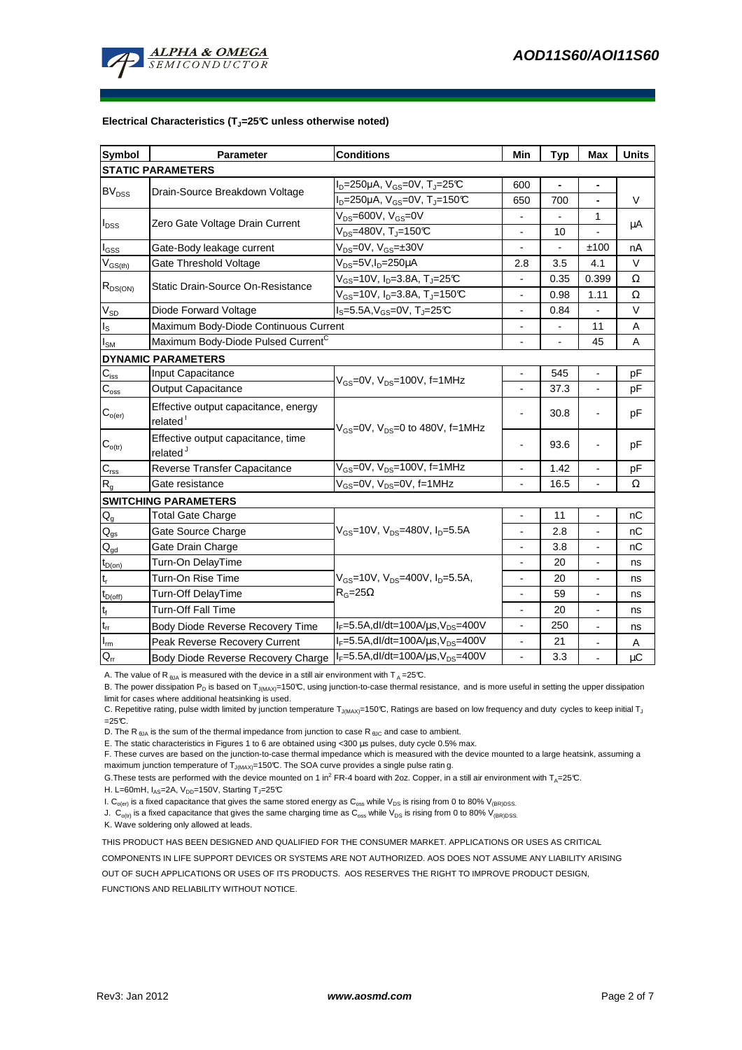

#### **Electrical Characteristics (TJ=25°C unless otherwise noted)**

| <b>Symbol</b>               | Parameter                                                    | <b>Conditions</b>                                          | Min                      | <b>Typ</b> | Max                      | <b>Units</b>    |  |  |  |  |
|-----------------------------|--------------------------------------------------------------|------------------------------------------------------------|--------------------------|------------|--------------------------|-----------------|--|--|--|--|
| <b>STATIC PARAMETERS</b>    |                                                              |                                                            |                          |            |                          |                 |  |  |  |  |
| BV <sub>DSS</sub>           |                                                              | $I_D = 250 \mu A$ , $V_{GS} = 0V$ , $T_J = 25 \text{C}$    | 600                      |            | $\blacksquare$           |                 |  |  |  |  |
|                             | Drain-Source Breakdown Voltage                               | $I_D = 250 \mu A$ , $V_{GS} = 0V$ , T <sub>J</sub> =150℃   | 650                      | 700        | $\blacksquare$           | V               |  |  |  |  |
| $I_{DSS}$                   |                                                              | $V_{DS}$ =600V, $V_{GS}$ =0V                               |                          |            | $\mathbf{1}$             |                 |  |  |  |  |
|                             | Zero Gate Voltage Drain Current                              | $V_{DS}$ =480V, T <sub>J</sub> =150°C                      | $\overline{a}$           | 10         |                          | μA              |  |  |  |  |
| $I_{GSS}$                   | Gate-Body leakage current                                    | $V_{DS} = 0V$ , $V_{GS} = \pm 30V$                         | $\blacksquare$           |            | ±100                     | nA              |  |  |  |  |
| $V_{GS(th)}$                | Gate Threshold Voltage                                       | V <sub>DS</sub> =5V,I <sub>D</sub> =250µA                  | 2.8                      | 3.5        | 4.1                      | V               |  |  |  |  |
| $R_{DS(ON)}$                | Static Drain-Source On-Resistance                            | $V_{GS}$ =10V, I <sub>D</sub> =3.8A, T <sub>J</sub> =25°C  |                          | 0.35       | 0.399                    | Ω               |  |  |  |  |
|                             |                                                              | $V_{GS}$ =10V, I <sub>D</sub> =3.8A, T <sub>J</sub> =150°C | $\overline{a}$           | 0.98       | 1.11                     | Ω               |  |  |  |  |
| $\rm V_{SD}$                | Diode Forward Voltage                                        | $I_S = 5.5A, V_{GS} = 0V, T_J = 25C$                       | $\overline{\phantom{a}}$ | 0.84       |                          | V               |  |  |  |  |
| $\mathsf{I}_\mathsf{S}$     | Maximum Body-Diode Continuous Current                        |                                                            |                          |            | 11                       | A               |  |  |  |  |
| $I_{\text{SM}}$             | Maximum Body-Diode Pulsed Current <sup>C</sup>               |                                                            |                          |            | 45                       | A               |  |  |  |  |
| <b>DYNAMIC PARAMETERS</b>   |                                                              |                                                            |                          |            |                          |                 |  |  |  |  |
| $C_{iss}$                   | Input Capacitance                                            | $V_{\text{GS}}$ =0V, $V_{\text{DS}}$ =100V, f=1MHz         |                          | 545        |                          | pF              |  |  |  |  |
| $C_{\text{oss}}$            | Output Capacitance                                           |                                                            | $\blacksquare$           | 37.3       | $\overline{\phantom{a}}$ | рF              |  |  |  |  |
| $C_{o(er)}$                 | Effective output capacitance, energy<br>related <sup>1</sup> | $V_{GS}$ =0V, $V_{DS}$ =0 to 480V, f=1MHz                  |                          | 30.8       |                          | pF              |  |  |  |  |
| $\mathbf{C}_{o(tr)}$        | Effective output capacitance, time<br>related <sup>J</sup>   |                                                            |                          | 93.6       |                          | рF              |  |  |  |  |
| $C_{\text{rss}}$            | Reverse Transfer Capacitance                                 | $V_{GS}$ =0V, $V_{DS}$ =100V, f=1MHz                       |                          | 1.42       |                          | pF              |  |  |  |  |
| $R_{g}$                     | Gate resistance                                              | V <sub>GS</sub> =0V, V <sub>DS</sub> =0V, f=1MHz           |                          | 16.5       |                          | Ω               |  |  |  |  |
| <b>SWITCHING PARAMETERS</b> |                                                              |                                                            |                          |            |                          |                 |  |  |  |  |
| $Q_{q}$                     | <b>Total Gate Charge</b>                                     |                                                            |                          | 11         |                          | nC              |  |  |  |  |
| $\mathsf{Q}_{\text{gs}}$    | Gate Source Charge                                           | $V_{GS}$ =10V, $V_{DS}$ =480V, $I_{D}$ =5.5A               | $\blacksquare$           | 2.8        | $\blacksquare$           | nC              |  |  |  |  |
| $\mathsf{Q}_{\text{gd}}$    | Gate Drain Charge                                            |                                                            |                          | 3.8        |                          | nC              |  |  |  |  |
| $t_{D(on)}$                 | Turn-On DelayTime                                            |                                                            |                          | 20         |                          | ns              |  |  |  |  |
| $\mathsf{t}_{\mathsf{r}}$   | Turn-On Rise Time                                            | $V_{GS}$ =10V, $V_{DS}$ =400V, $I_D$ =5.5A,                | $\overline{\phantom{a}}$ | 20         | $\blacksquare$           | ns              |  |  |  |  |
| $t_{D(off)}$                | Turn-Off DelayTime                                           | $R_G = 25\Omega$                                           | $\overline{\phantom{a}}$ | 59         | $\blacksquare$           | ns              |  |  |  |  |
| $t_f$                       | Turn-Off Fall Time                                           |                                                            |                          | 20         |                          | ns              |  |  |  |  |
| $\mathfrak{t}_{\text{rr}}$  | Body Diode Reverse Recovery Time                             | $I_F = 5.5A$ , dl/dt=100A/ $\mu$ s, V <sub>DS</sub> =400V  |                          | 250        |                          | ns              |  |  |  |  |
| $I_{\rm m}$                 | Peak Reverse Recovery Current                                | $I_F = 5.5A$ , dl/dt=100A/ $\mu$ s, V <sub>DS</sub> =400V  | $\blacksquare$           | 21         | $\blacksquare$           | Α               |  |  |  |  |
| $Q_{rr}$                    | Body Diode Reverse Recovery Charge                           | $I_F = 5.5A$ , dl/dt=100A/ $\mu$ s, V <sub>DS</sub> =400V  | $\blacksquare$           | 3.3        |                          | $\upmu\text{C}$ |  |  |  |  |

A. The value of R<sub>θJA</sub> is measured with the device in a still air environment with T<sub>A</sub>=25°C.

B. The power dissipation P<sub>D</sub> is based on T<sub>J(MAX)</sub>=150°C, using junction-to-case thermal resistance, and is more useful in setting the upper dissipation limit for cases where additional heatsinking is used.

C. Repetitive rating, pulse width limited by junction temperature T<sub>J(MAX)</sub>=150°C, Ratings are based on low frequency and duty cycles to keep initial T<sub>J</sub>  $=25C$ .

D. The R  $_{\text{BJA}}$  is the sum of the thermal impedance from junction to case R  $_{\text{BJC}}$  and case to ambient.

E. The static characteristics in Figures 1 to 6 are obtained using <300 µs pulses, duty cycle 0.5% max.

F. These curves are based on the junction-to-case thermal impedance which is measured with the device mounted to a large heatsink, assuming a maximum junction temperature of  $T_{J(MAX)}$ =150°C. The SOA curve provides a single pulse ratin g.

G. These tests are performed with the device mounted on 1 in<sup>2</sup> FR-4 board with 2oz. Copper, in a still air environment with T<sub>A</sub>=25°C.

H. L=60mH,  $I_{AS}$ =2A,  $V_{DD}$ =150V, Starting T<sub>J</sub>=25°C

I.  $C_{o(ef)}$  is a fixed capacitance that gives the same stored energy as  $C_{oss}$  while  $V_{DS}$  is rising from 0 to 80%  $V_{IBR)DSS}$ .

J.  $C_{\text{o(tr)}}$  is a fixed capacitance that gives the same charging time as  $C_{\text{oss}}$  while  $V_{DS}$  is rising from 0 to 80%  $V_{\text{(BR)DSS}}$ .

K. Wave soldering only allowed at leads.

THIS PRODUCT HAS BEEN DESIGNED AND QUALIFIED FOR THE CONSUMER MARKET. APPLICATIONS OR USES AS CRITICAL

COMPONENTS IN LIFE SUPPORT DEVICES OR SYSTEMS ARE NOT AUTHORIZED. AOS DOES NOT ASSUME ANY LIABILITY ARISING

OUT OF SUCH APPLICATIONS OR USES OF ITS PRODUCTS. AOS RESERVES THE RIGHT TO IMPROVE PRODUCT DESIGN,

FUNCTIONS AND RELIABILITY WITHOUT NOTICE.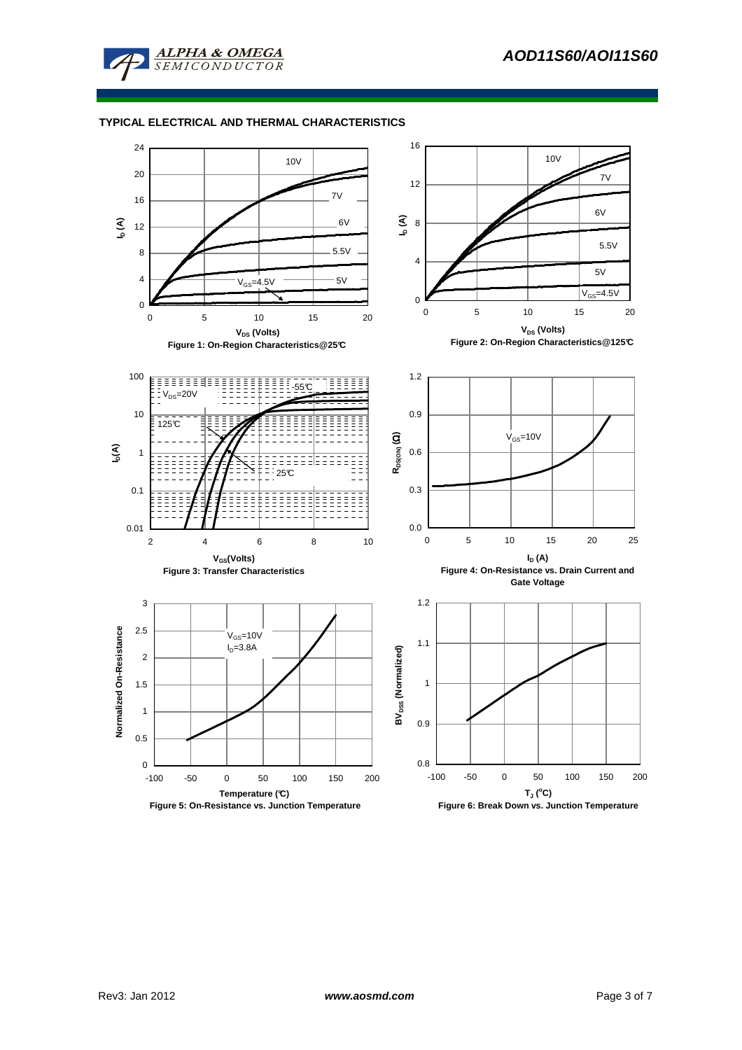

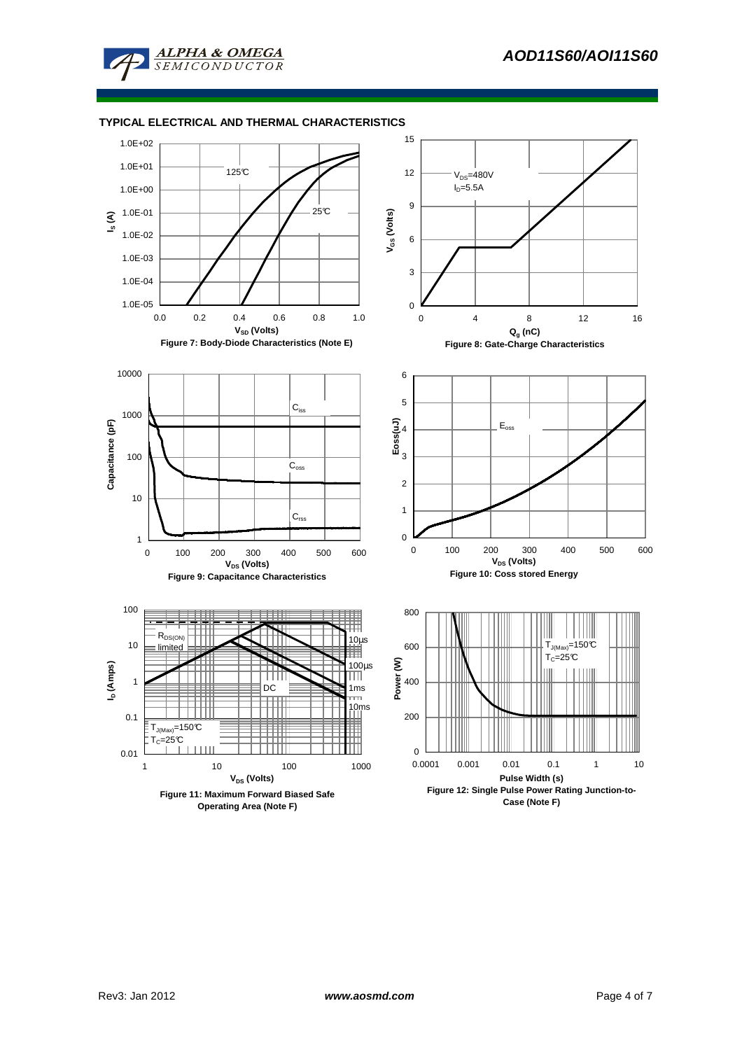

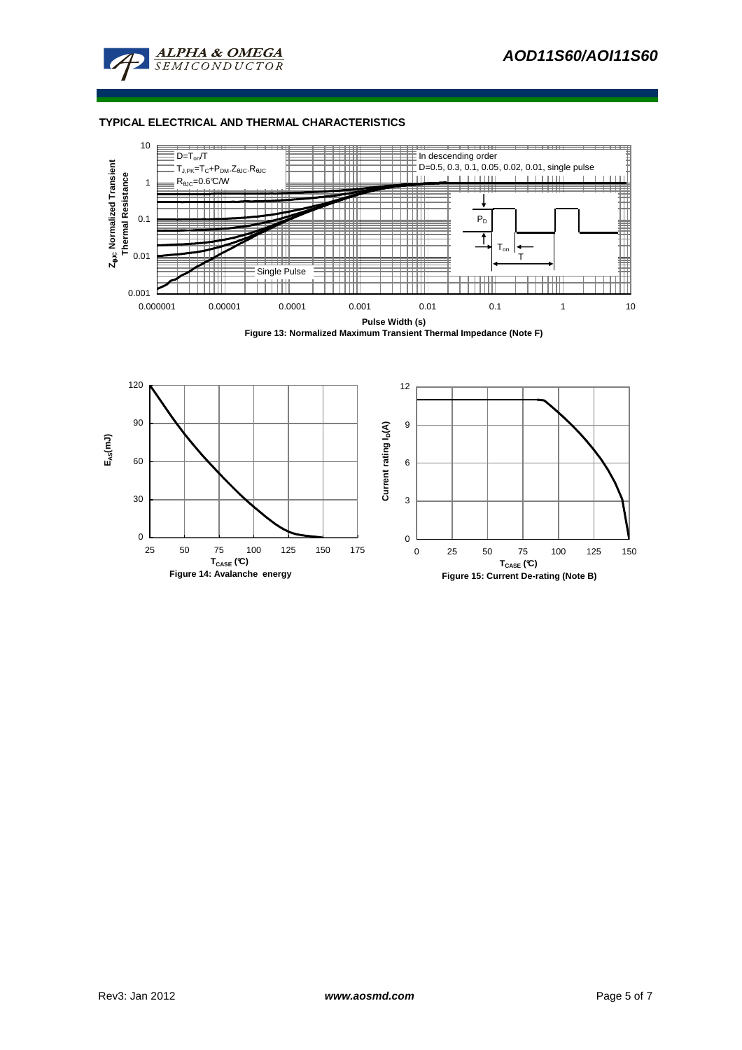





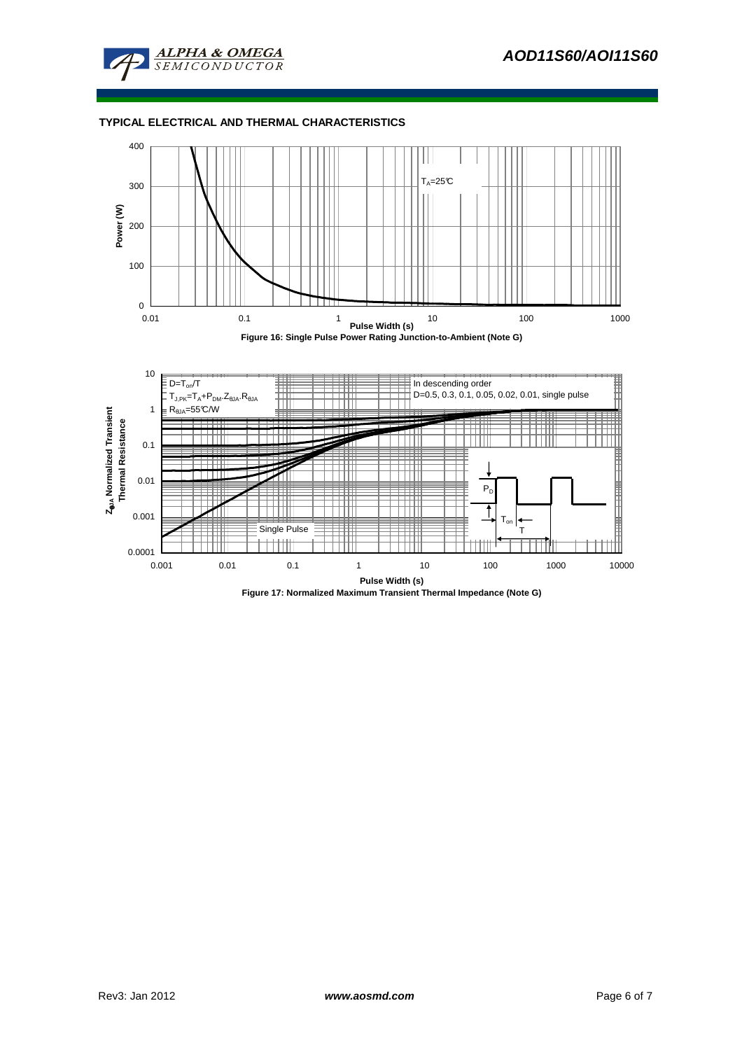